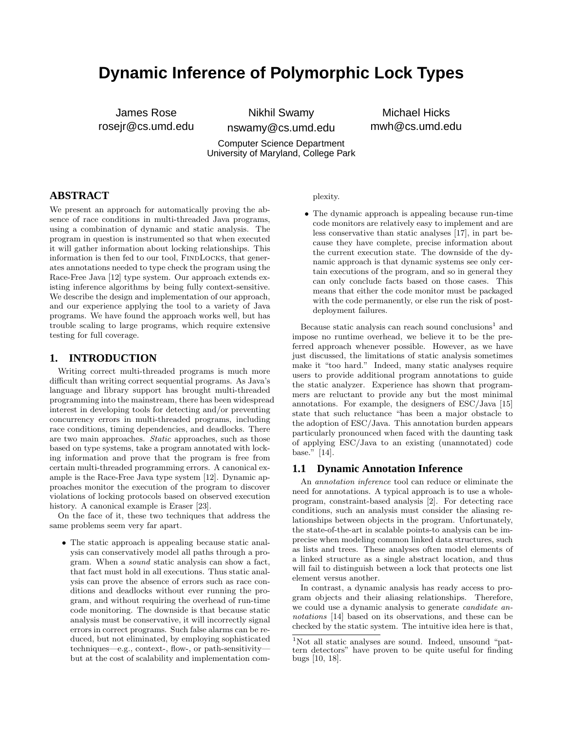# **Dynamic Inference of Polymorphic Lock Types**

James Rose rosejr@cs.umd.edu

Nikhil Swamy nswamy@cs.umd.edu

Michael Hicks mwh@cs.umd.edu

Computer Science Department University of Maryland, College Park

## **ABSTRACT**

We present an approach for automatically proving the absence of race conditions in multi-threaded Java programs, using a combination of dynamic and static analysis. The program in question is instrumented so that when executed it will gather information about locking relationships. This information is then fed to our tool, FINDLOCKS, that generates annotations needed to type check the program using the Race-Free Java [12] type system. Our approach extends existing inference algorithms by being fully context-sensitive. We describe the design and implementation of our approach, and our experience applying the tool to a variety of Java programs. We have found the approach works well, but has trouble scaling to large programs, which require extensive testing for full coverage.

#### **1. INTRODUCTION**

Writing correct multi-threaded programs is much more difficult than writing correct sequential programs. As Java's language and library support has brought multi-threaded programming into the mainstream, there has been widespread interest in developing tools for detecting and/or preventing concurrency errors in multi-threaded programs, including race conditions, timing dependencies, and deadlocks. There are two main approaches. Static approaches, such as those based on type systems, take a program annotated with locking information and prove that the program is free from certain multi-threaded programming errors. A canonical example is the Race-Free Java type system [12]. Dynamic approaches monitor the execution of the program to discover violations of locking protocols based on observed execution history. A canonical example is Eraser [23].

On the face of it, these two techniques that address the same problems seem very far apart.

• The static approach is appealing because static analysis can conservatively model all paths through a program. When a sound static analysis can show a fact, that fact must hold in all executions. Thus static analysis can prove the absence of errors such as race conditions and deadlocks without ever running the program, and without requiring the overhead of run-time code monitoring. The downside is that because static analysis must be conservative, it will incorrectly signal errors in correct programs. Such false alarms can be reduced, but not eliminated, by employing sophisticated techniques—e.g., context-, flow-, or path-sensitivity but at the cost of scalability and implementation com-

#### plexity.

• The dynamic approach is appealing because run-time code monitors are relatively easy to implement and are less conservative than static analyses [17], in part because they have complete, precise information about the current execution state. The downside of the dynamic approach is that dynamic systems see only certain executions of the program, and so in general they can only conclude facts based on those cases. This means that either the code monitor must be packaged with the code permanently, or else run the risk of postdeployment failures.

Because static analysis can reach sound conclusions<sup>1</sup> and impose no runtime overhead, we believe it to be the preferred approach whenever possible. However, as we have just discussed, the limitations of static analysis sometimes make it "too hard." Indeed, many static analyses require users to provide additional program annotations to guide the static analyzer. Experience has shown that programmers are reluctant to provide any but the most minimal annotations. For example, the designers of ESC/Java [15] state that such reluctance "has been a major obstacle to the adoption of ESC/Java. This annotation burden appears particularly pronounced when faced with the daunting task of applying ESC/Java to an existing (unannotated) code base." [14].

#### **1.1 Dynamic Annotation Inference**

An annotation inference tool can reduce or eliminate the need for annotations. A typical approach is to use a wholeprogram, constraint-based analysis [2]. For detecting race conditions, such an analysis must consider the aliasing relationships between objects in the program. Unfortunately, the state-of-the-art in scalable points-to analysis can be imprecise when modeling common linked data structures, such as lists and trees. These analyses often model elements of a linked structure as a single abstract location, and thus will fail to distinguish between a lock that protects one list element versus another.

In contrast, a dynamic analysis has ready access to program objects and their aliasing relationships. Therefore, we could use a dynamic analysis to generate candidate annotations [14] based on its observations, and these can be checked by the static system. The intuitive idea here is that,

<sup>1</sup>Not all static analyses are sound. Indeed, unsound "pattern detectors" have proven to be quite useful for finding bugs [10, 18].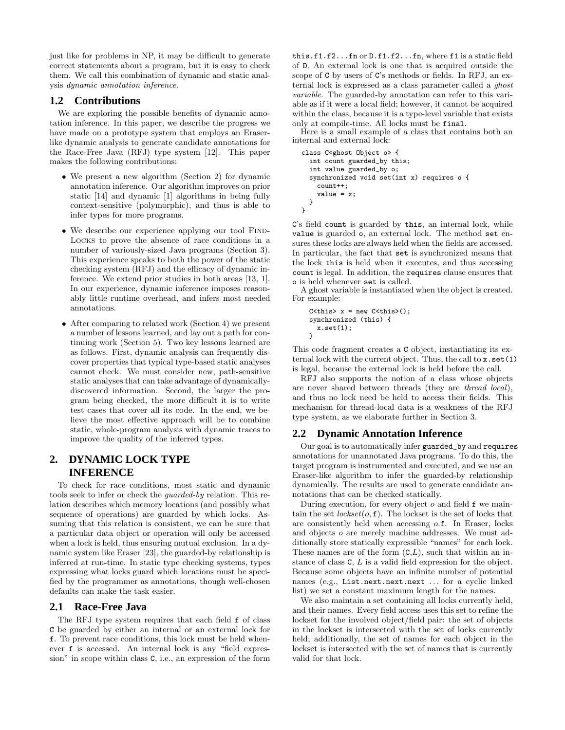just like for problems in NP, it may be difficult to generate correct statements about a program, but it is easy to check them. We call this combination of dynamic and static analysis dynamic annotation inference.

#### **1.2 Contributions**

We are exploring the possible benefits of dynamic annotation inference. In this paper, we describe the progress we have made on a prototype system that employs an Eraserlike dynamic analysis to generate candidate annotations for the Race-Free Java (RFJ) type system [12]. This paper makes the following contributions:

- We present a new algorithm (Section 2) for dynamic annotation inference. Our algorithm improves on prior static [14] and dynamic [1] algorithms in being fully context-sensitive (polymorphic), and thus is able to infer types for more programs.
- We describe our experience applying our tool FIND-Locks to prove the absence of race conditions in a number of variously-sized Java programs (Section 3). This experience speaks to both the power of the static checking system (RFJ) and the efficacy of dynamic inference. We extend prior studies in both areas [13, 1]. In our experience, dynamic inference imposes reasonably little runtime overhead, and infers most needed annotations.
- After comparing to related work (Section 4) we present a number of lessons learned, and lay out a path for continuing work (Section 5). Two key lessons learned are as follows. First, dynamic analysis can frequently discover properties that typical type-based static analyses cannot check. We must consider new, path-sensitive static analyses that can take advantage of dynamicallydiscovered information. Second, the larger the program being checked, the more difficult it is to write test cases that cover all its code. In the end, we believe the most effective approach will be to combine static, whole-program analysis with dynamic traces to improve the quality of the inferred types.

## **2. DYNAMIC LOCK TYPE INFERENCE**

To check for race conditions, most static and dynamic tools seek to infer or check the guarded-by relation. This relation describes which memory locations (and possibly what sequence of operations) are guarded by which locks. Assuming that this relation is consistent, we can be sure that a particular data object or operation will only be accessed when a lock is held, thus ensuring mutual exclusion. In a dynamic system like Eraser [23], the guarded-by relationship is inferred at run-time. In static type checking systems, types expressing what locks guard which locations must be specified by the programmer as annotations, though well-chosen defaults can make the task easier.

#### **2.1 Race-Free Java**

The RFJ type system requires that each field f of class C be guarded by either an internal or an external lock for f. To prevent race conditions, this lock must be held whenever f is accessed. An internal lock is any "field expression" in scope within class C, i.e., an expression of the form this.f1.f2...fn or D.f1.f2...fn, where f1 is a static field of D. An external lock is one that is acquired outside the scope of C by users of C's methods or fields. In RFJ, an external lock is expressed as a class parameter called a ghost variable. The guarded-by annotation can refer to this variable as if it were a local field; however, it cannot be acquired within the class, because it is a type-level variable that exists only at compile-time. All locks must be final.

Here is a small example of a class that contains both an internal and external lock:

```
class C<ghost Object o> {
 int count guarded_by this;
 int value guarded_by o;
 synchronized void set(int x) requires o {
   count++value = x;
 }
}
```
C's field count is guarded by this, an internal lock, while value is guarded o, an external lock. The method set ensures these locks are always held when the fields are accessed. In particular, the fact that set is synchronized means that the lock this is held when it executes, and thus accessing count is legal. In addition, the requires clause ensures that o is held whenever set is called.

A ghost variable is instantiated when the object is created. For example:

```
C<this> x = new C<this>();
synchronized (this) {
 x.set(1);
}
```
This code fragment creates a C object, instantiating its external lock with the current object. Thus, the call to x.set(1) is legal, because the external lock is held before the call.

RFJ also supports the notion of a class whose objects are never shared between threads (they are thread local), and thus no lock need be held to access their fields. This mechanism for thread-local data is a weakness of the RFJ type system, as we elaborate further in Section 3.

## **2.2 Dynamic Annotation Inference**

Our goal is to automatically infer guarded\_by and requires annotations for unannotated Java programs. To do this, the target program is instrumented and executed, and we use an Eraser-like algorithm to infer the guarded-by relationship dynamically. The results are used to generate candidate annotations that can be checked statically.

During execution, for every object  $o$  and field  $f$  we maintain the set  $lockset(o, f)$ . The lockset is the set of locks that are consistently held when accessing o.f. In Eraser, locks and objects o are merely machine addresses. We must additionally store statically expressible "names" for each lock. These names are of the form  $(C, L)$ , such that within an instance of class C, L is a valid field expression for the object. Because some objects have an infinite number of potential names (e.g., List.next.next.next ... for a cyclic linked list) we set a constant maximum length for the names.

We also maintain a set containing all locks currently held, and their names. Every field access uses this set to refine the lockset for the involved object/field pair: the set of objects in the lockset is intersected with the set of locks currently held; additionally, the set of names for each object in the lockset is intersected with the set of names that is currently valid for that lock.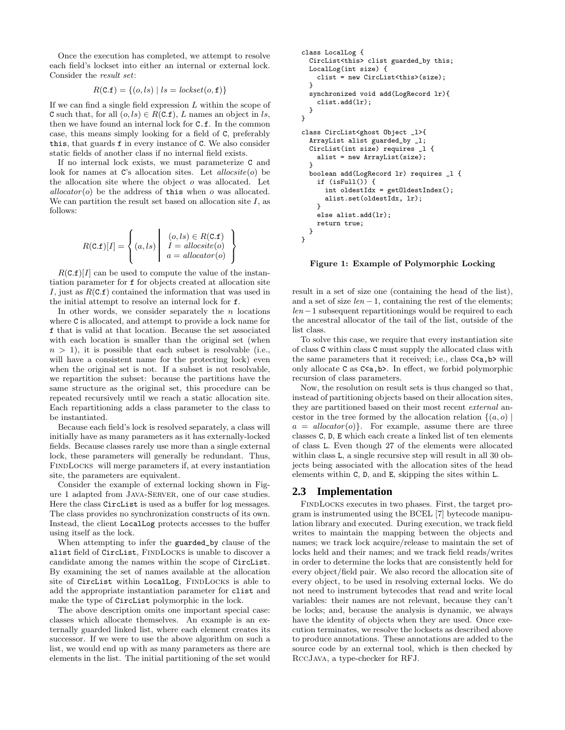Once the execution has completed, we attempt to resolve each field's lockset into either an internal or external lock. Consider the result set:

$$
R(C.f) = \{(o, ls) | ls = lockset(o, f)\}
$$

If we can find a single field expression  $L$  within the scope of C such that, for all  $(o, ls) \in R(C.f), L$  names an object in ls, then we have found an internal lock for C.f. In the common case, this means simply looking for a field of C, preferably this, that guards f in every instance of C. We also consider static fields of another class if no internal field exists.

If no internal lock exists, we must parameterize C and look for names at  $C$ 's allocation sites. Let  $allocsite(o)$  be the allocation site where the object o was allocated. Let  $\textit{allocator}(o)$  be the address of this when o was allocated. We can partition the result set based on allocation site  $I$ , as follows:

$$
R(\text{C.f})[I] = \left\{ (a, ls) \mid I = \text{allocsite}(o) \atop a = \text{allocator}(o) \right\}
$$

 $R(C.f)[I]$  can be used to compute the value of the instantiation parameter for f for objects created at allocation site I, just as  $R(C.f)$  contained the information that was used in the initial attempt to resolve an internal lock for f.

In other words, we consider separately the  $n$  locations where C is allocated, and attempt to provide a lock name for f that is valid at that location. Because the set associated with each location is smaller than the original set (when  $n > 1$ ), it is possible that each subset is resolvable (i.e., will have a consistent name for the protecting lock) even when the original set is not. If a subset is not resolvable, we repartition the subset: because the partitions have the same structure as the original set, this procedure can be repeated recursively until we reach a static allocation site. Each repartitioning adds a class parameter to the class to be instantiated.

Because each field's lock is resolved separately, a class will initially have as many parameters as it has externally-locked fields. Because classes rarely use more than a single external lock, these parameters will generally be redundant. Thus, FindLocks will merge parameters if, at every instantiation site, the parameters are equivalent.

Consider the example of external locking shown in Figure 1 adapted from Java-Server, one of our case studies. Here the class CircList is used as a buffer for log messages. The class provides no synchronization constructs of its own. Instead, the client LocalLog protects accesses to the buffer using itself as the lock.

When attempting to infer the guarded\_by clause of the alist field of CircList, FINDLOCKS is unable to discover a candidate among the names within the scope of CircList. By examining the set of names available at the allocation site of CircList within LocalLog, FINDLOCKS is able to add the appropriate instantiation parameter for clist and make the type of CircList polymorphic in the lock.

The above description omits one important special case: classes which allocate themselves. An example is an externally guarded linked list, where each element creates its successor. If we were to use the above algorithm on such a list, we would end up with as many parameters as there are elements in the list. The initial partitioning of the set would

```
class LocalLog {
  CircList<this> clist guarded_by this;
  LocalLog(int size) {
    clist = new CircList<this>(size);
  }
  synchronized void add(LogRecord lr){
    clist.add(lr);
 }
}
class CircList<ghost Object _l>{
  ArrayList alist guarded_by _l;
  CircList(int size) requires _l {
    alist = new ArrayList(size);
  }
  boolean add(LogRecord lr) requires _l {
    if (isFull()) {
      int oldestIdx = getOldestIndex();
      alist.set(oldestIdx, lr);
    }
    else alist.add(lr);
    return true;
 }
}
```
Figure 1: Example of Polymorphic Locking

result in a set of size one (containing the head of the list), and a set of size  $len - 1$ , containing the rest of the elements;  $len - 1$  subsequent repartitionings would be required to each the ancestral allocator of the tail of the list, outside of the list class.

To solve this case, we require that every instantiation site of class C within class C must supply the allocated class with the same parameters that it received; i.e., class  $C \le a$ , b> will only allocate C as C<a,b>. In effect, we forbid polymorphic recursion of class parameters.

Now, the resolution on result sets is thus changed so that, instead of partitioning objects based on their allocation sites, they are partitioned based on their most recent external ancestor in the tree formed by the allocation relation  $\{(a, o) \mid$  $a = \text{allocator}(o)$ . For example, assume there are three classes C, D, E which each create a linked list of ten elements of class L. Even though 27 of the elements were allocated within class L, a single recursive step will result in all 30 objects being associated with the allocation sites of the head elements within C, D, and E, skipping the sites within L.

## **2.3 Implementation**

FindLocks executes in two phases. First, the target program is instrumented using the BCEL [7] bytecode manipulation library and executed. During execution, we track field writes to maintain the mapping between the objects and names; we track lock acquire/release to maintain the set of locks held and their names; and we track field reads/writes in order to determine the locks that are consistently held for every object/field pair. We also record the allocation site of every object, to be used in resolving external locks. We do not need to instrument bytecodes that read and write local variables: their names are not relevant, because they can't be locks; and, because the analysis is dynamic, we always have the identity of objects when they are used. Once execution terminates, we resolve the locksets as described above to produce annotations. These annotations are added to the source code by an external tool, which is then checked by RccJava, a type-checker for RFJ.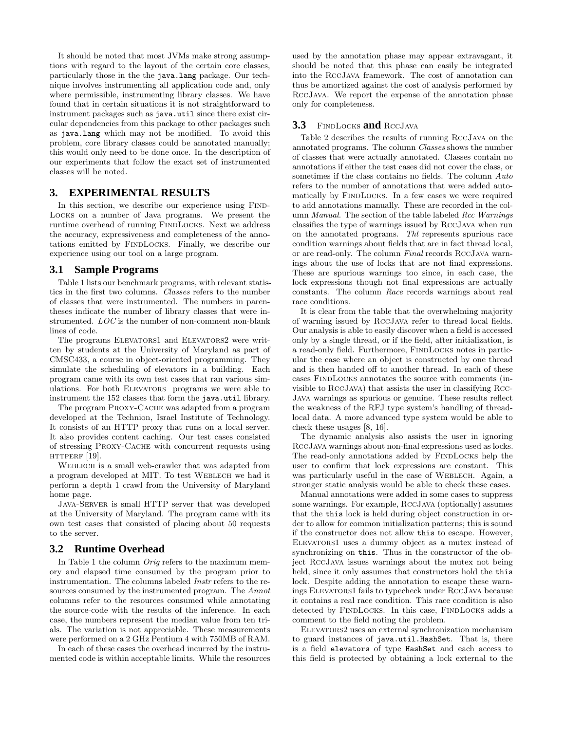It should be noted that most JVMs make strong assumptions with regard to the layout of the certain core classes, particularly those in the the java.lang package. Our technique involves instrumenting all application code and, only where permissible, instrumenting library classes. We have found that in certain situations it is not straightforward to instrument packages such as java.util since there exist circular dependencies from this package to other packages such as java.lang which may not be modified. To avoid this problem, core library classes could be annotated manually; this would only need to be done once. In the description of our experiments that follow the exact set of instrumented classes will be noted.

## **3. EXPERIMENTAL RESULTS**

In this section, we describe our experience using FIND-Locks on a number of Java programs. We present the runtime overhead of running FINDLOCKS. Next we address the accuracy, expressiveness and completeness of the annotations emitted by FindLocks. Finally, we describe our experience using our tool on a large program.

#### **3.1 Sample Programs**

Table 1 lists our benchmark programs, with relevant statistics in the first two columns. Classes refers to the number of classes that were instrumented. The numbers in parentheses indicate the number of library classes that were instrumented. LOC is the number of non-comment non-blank lines of code.

The programs ELEVATORS1 and ELEVATORS2 were written by students at the University of Maryland as part of CMSC433, a course in object-oriented programming. They simulate the scheduling of elevators in a building. Each program came with its own test cases that ran various simulations. For both ELEVATORS programs we were able to instrument the 152 classes that form the java.util library.

The program Proxy-Cache was adapted from a program developed at the Technion, Israel Institute of Technology. It consists of an HTTP proxy that runs on a local server. It also provides content caching. Our test cases consisted of stressing Proxy-Cache with concurrent requests using HTTPERF  $[19]$ .

WEBLECH is a small web-crawler that was adapted from a program developed at MIT. To test WEBLECH we had it perform a depth 1 crawl from the University of Maryland home page.

Java-Server is small HTTP server that was developed at the University of Maryland. The program came with its own test cases that consisted of placing about 50 requests to the server.

#### **3.2 Runtime Overhead**

In Table 1 the column Orig refers to the maximum memory and elapsed time consumed by the program prior to instrumentation. The columns labeled Instr refers to the resources consumed by the instrumented program. The Annot columns refer to the resources consumed while annotating the source-code with the results of the inference. In each case, the numbers represent the median value from ten trials. The variation is not appreciable. These measurements were performed on a 2 GHz Pentium 4 with 750MB of RAM.

In each of these cases the overhead incurred by the instrumented code is within acceptable limits. While the resources used by the annotation phase may appear extravagant, it should be noted that this phase can easily be integrated into the RccJava framework. The cost of annotation can thus be amortized against the cost of analysis performed by RccJava. We report the expense of the annotation phase only for completeness.

#### **3.3** FindLocks **and** RccJava

Table 2 describes the results of running RccJava on the annotated programs. The column Classes shows the number of classes that were actually annotated. Classes contain no annotations if either the test cases did not cover the class, or sometimes if the class contains no fields. The column Auto refers to the number of annotations that were added automatically by FINDLOCKS. In a few cases we were required to add annotations manually. These are recorded in the column Manual. The section of the table labeled Rcc Warnings classifies the type of warnings issued by RccJava when run on the annotated programs. Thl represents spurious race condition warnings about fields that are in fact thread local, or are read-only. The column Final records RccJava warnings about the use of locks that are not final expressions. These are spurious warnings too since, in each case, the lock expressions though not final expressions are actually constants. The column Race records warnings about real race conditions.

It is clear from the table that the overwhelming majority of warning issued by RccJava refer to thread local fields. Our analysis is able to easily discover when a field is accessed only by a single thread, or if the field, after initialization, is a read-only field. Furthermore, FINDLOCKS notes in particular the case where an object is constructed by one thread and is then handed off to another thread. In each of these cases FindLocks annotates the source with comments (invisible to RccJava) that assists the user in classifying Rcc-Java warnings as spurious or genuine. These results reflect the weakness of the RFJ type system's handling of threadlocal data. A more advanced type system would be able to check these usages [8, 16].

The dynamic analysis also assists the user in ignoring RccJava warnings about non-final expressions used as locks. The read-only annotations added by FINDLOCKS help the user to confirm that lock expressions are constant. This was particularly useful in the case of WEBLECH. Again, a stronger static analysis would be able to check these cases.

Manual annotations were added in some cases to suppress some warnings. For example, RccJava (optionally) assumes that the this lock is held during object construction in order to allow for common initialization patterns; this is sound if the constructor does not allow this to escape. However, Elevators1 uses a dummy object as a mutex instead of synchronizing on this. Thus in the constructor of the object RccJava issues warnings about the mutex not being held, since it only assumes that constructors hold the this lock. Despite adding the annotation to escape these warnings Elevators1 fails to typecheck under RccJava because it contains a real race condition. This race condition is also detected by FINDLOCKS. In this case, FINDLOCKS adds a comment to the field noting the problem.

Elevators2 uses an external synchronization mechanism to guard instances of java.util.HashSet. That is, there is a field elevators of type HashSet and each access to this field is protected by obtaining a lock external to the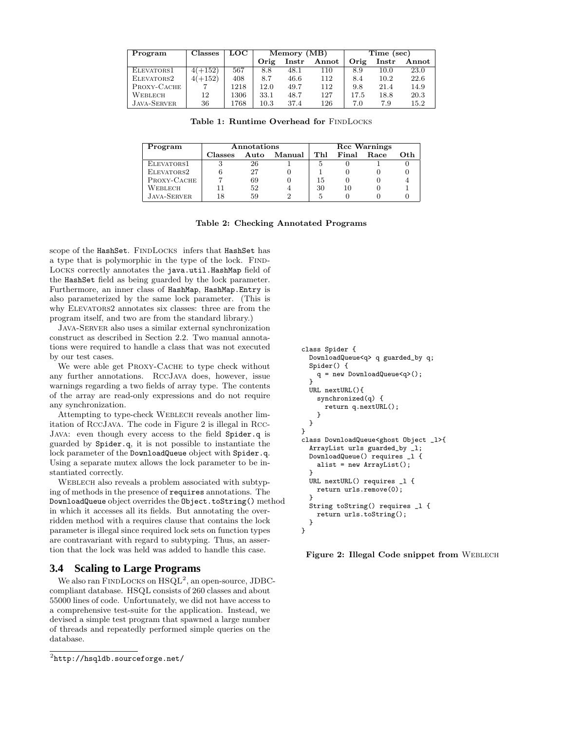| Program            | Classes   | LOC  | Memory (MB) |       |       | Time (sec) |                        |       |
|--------------------|-----------|------|-------------|-------|-------|------------|------------------------|-------|
|                    |           |      | Orig        | Instr | Annot | Orig       | $\operatorname{Instr}$ | Annot |
| ELEVATORS1         | $4(+152)$ | 567  | 8.8         | 48.1  | 110   | 8.9        | 10.0                   | 23.0  |
| ELEVATORS2         | $4(+152)$ | 408  | 8.7         | 46.6  | 112   | 8.4        | 10.2                   | 22.6  |
| PROXY-CACHE        |           | 1218 | 12.0        | 49.7  | 112   | 9.8        | 21.4                   | 14.9  |
| WEBLECH            | 12        | 1306 | 33.1        | 48.7  | 127   | 17.5       | 18.8                   | 20.3  |
| <b>JAVA-SERVER</b> | 36        | 1768 | $10.3\,$    | 37.4  | 126   | 7.0        | 7.9                    | 15.2  |

Table 1: Runtime Overhead for FINDLOCKS

| Program            | Annotations | <b>Rcc Warnings</b> |        |     |       |      |      |
|--------------------|-------------|---------------------|--------|-----|-------|------|------|
|                    | Classes     | Auto                | Manual | Thl | Final | Race | Oth. |
| ELEVATORS1         |             | 26                  |        |     |       |      |      |
| ELEVATORS2         |             | 27                  |        |     |       |      |      |
| PROXY-CACHE        |             | 69                  |        | 15  |       |      |      |
| Weblech            |             | 52                  |        | 30  | 10    |      |      |
| <b>JAVA-SERVER</b> |             | 59                  |        |     |       |      |      |

#### Table 2: Checking Annotated Programs

scope of the HashSet. FINDLOCKS infers that HashSet has a type that is polymorphic in the type of the lock. FIND-Locks correctly annotates the java.util.HashMap field of the HashSet field as being guarded by the lock parameter. Furthermore, an inner class of HashMap, HashMap.Entry is also parameterized by the same lock parameter. (This is why ELEVATORS2 annotates six classes: three are from the program itself, and two are from the standard library.)

Java-Server also uses a similar external synchronization construct as described in Section 2.2. Two manual annotations were required to handle a class that was not executed by our test cases.

We were able get PROXY-CACHE to type check without any further annotations. RccJava does, however, issue warnings regarding a two fields of array type. The contents of the array are read-only expressions and do not require any synchronization.

Attempting to type-check Weblech reveals another limitation of RccJava. The code in Figure 2 is illegal in Rcc-Java: even though every access to the field Spider.q is guarded by Spider.q, it is not possible to instantiate the lock parameter of the DownloadQueue object with Spider.q. Using a separate mutex allows the lock parameter to be instantiated correctly.

WEBLECH also reveals a problem associated with subtyping of methods in the presence of requires annotations. The DownloadQueue object overrides the Object.toString() method in which it accesses all its fields. But annotating the overridden method with a requires clause that contains the lock parameter is illegal since required lock sets on function types are contravariant with regard to subtyping. Thus, an assertion that the lock was held was added to handle this case.

#### **3.4 Scaling to Large Programs**

We also ran FINDLOCKS on  $HSQL^2$ , an open-source, JDBCcompliant database. HSQL consists of 260 classes and about 55000 lines of code. Unfortunately, we did not have access to a comprehensive test-suite for the application. Instead, we devised a simple test program that spawned a large number of threads and repeatedly performed simple queries on the database.

```
class Spider {
  DownloadQueue<q> q guarded_by q;
  Spider() {
    q = new DownloadQueue<q>();
  }
  URL nextURL(){
    synchronized(q) {
      return q.nextURL();
    }
 }
}
class DownloadQueue<ghost Object _l>{
  ArrayList urls guarded_by _l;
  DownloadQueue() requires _l {
    alist = new ArrayList();
  }
  URL nextURL() requires _l {
    return urls.remove(0);
  }
  String toString() requires _l {
    return urls.toString();
 }
}
```
Figure 2: Illegal Code snippet from WEBLECH

 $^{2}$ http://hsqldb.sourceforge.net/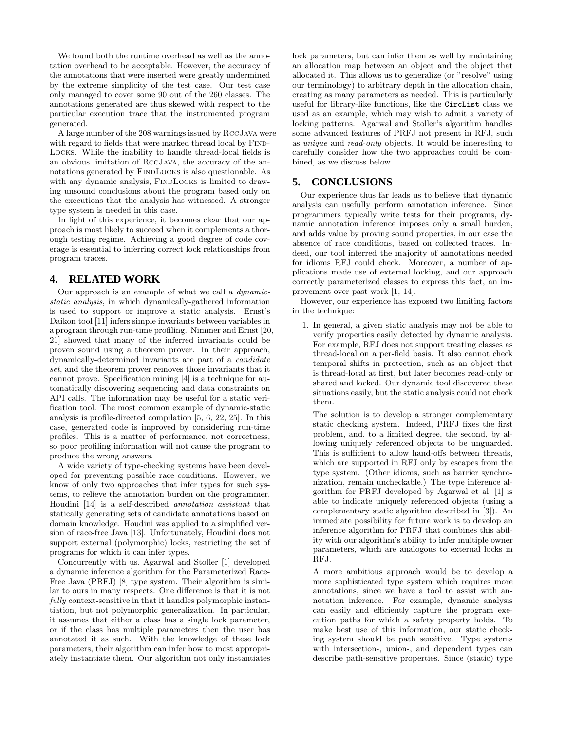We found both the runtime overhead as well as the annotation overhead to be acceptable. However, the accuracy of the annotations that were inserted were greatly undermined by the extreme simplicity of the test case. Our test case only managed to cover some 90 out of the 260 classes. The annotations generated are thus skewed with respect to the particular execution trace that the instrumented program generated.

A large number of the 208 warnings issued by RccJava were with regard to fields that were marked thread local by FIND-Locks. While the inability to handle thread-local fields is an obvious limitation of RccJava, the accuracy of the annotations generated by FINDLOCKS is also questionable. As with any dynamic analysis, FINDLOCKS is limited to drawing unsound conclusions about the program based only on the executions that the analysis has witnessed. A stronger type system is needed in this case.

In light of this experience, it becomes clear that our approach is most likely to succeed when it complements a thorough testing regime. Achieving a good degree of code coverage is essential to inferring correct lock relationships from program traces.

## **4. RELATED WORK**

Our approach is an example of what we call a dynamicstatic analysis, in which dynamically-gathered information is used to support or improve a static analysis. Ernst's Daikon tool [11] infers simple invariants between variables in a program through run-time profiling. Nimmer and Ernst [20, 21] showed that many of the inferred invariants could be proven sound using a theorem prover. In their approach, dynamically-determined invariants are part of a candidate set, and the theorem prover removes those invariants that it cannot prove. Specification mining [4] is a technique for automatically discovering sequencing and data constraints on API calls. The information may be useful for a static verification tool. The most common example of dynamic-static analysis is profile-directed compilation [5, 6, 22, 25]. In this case, generated code is improved by considering run-time profiles. This is a matter of performance, not correctness, so poor profiling information will not cause the program to produce the wrong answers.

A wide variety of type-checking systems have been developed for preventing possible race conditions. However, we know of only two approaches that infer types for such systems, to relieve the annotation burden on the programmer. Houdini [14] is a self-described annotation assistant that statically generating sets of candidate annotations based on domain knowledge. Houdini was applied to a simplified version of race-free Java [13]. Unfortunately, Houdini does not support external (polymorphic) locks, restricting the set of programs for which it can infer types.

Concurrently with us, Agarwal and Stoller [1] developed a dynamic inference algorithm for the Parameterized Race-Free Java (PRFJ) [8] type system. Their algorithm is similar to ours in many respects. One difference is that it is not fully context-sensitive in that it handles polymorphic instantiation, but not polymorphic generalization. In particular, it assumes that either a class has a single lock parameter, or if the class has multiple parameters then the user has annotated it as such. With the knowledge of these lock parameters, their algorithm can infer how to most appropriately instantiate them. Our algorithm not only instantiates lock parameters, but can infer them as well by maintaining an allocation map between an object and the object that allocated it. This allows us to generalize (or "resolve" using our terminology) to arbitrary depth in the allocation chain, creating as many parameters as needed. This is particularly useful for library-like functions, like the CircList class we used as an example, which may wish to admit a variety of locking patterns. Agarwal and Stoller's algorithm handles some advanced features of PRFJ not present in RFJ, such as unique and read-only objects. It would be interesting to carefully consider how the two approaches could be combined, as we discuss below.

## **5. CONCLUSIONS**

Our experience thus far leads us to believe that dynamic analysis can usefully perform annotation inference. Since programmers typically write tests for their programs, dynamic annotation inference imposes only a small burden, and adds value by proving sound properties, in our case the absence of race conditions, based on collected traces. Indeed, our tool inferred the majority of annotations needed for idioms RFJ could check. Moreover, a number of applications made use of external locking, and our approach correctly parameterized classes to express this fact, an improvement over past work [1, 14].

However, our experience has exposed two limiting factors in the technique:

1. In general, a given static analysis may not be able to verify properties easily detected by dynamic analysis. For example, RFJ does not support treating classes as thread-local on a per-field basis. It also cannot check temporal shifts in protection, such as an object that is thread-local at first, but later becomes read-only or shared and locked. Our dynamic tool discovered these situations easily, but the static analysis could not check them.

The solution is to develop a stronger complementary static checking system. Indeed, PRFJ fixes the first problem, and, to a limited degree, the second, by allowing uniquely referenced objects to be unguarded. This is sufficient to allow hand-offs between threads, which are supported in RFJ only by escapes from the type system. (Other idioms, such as barrier synchronization, remain uncheckable.) The type inference algorithm for PRFJ developed by Agarwal et al. [1] is able to indicate uniquely referenced objects (using a complementary static algorithm described in [3]). An immediate possibility for future work is to develop an inference algorithm for PRFJ that combines this ability with our algorithm's ability to infer multiple owner parameters, which are analogous to external locks in RFJ.

A more ambitious approach would be to develop a more sophisticated type system which requires more annotations, since we have a tool to assist with annotation inference. For example, dynamic analysis can easily and efficiently capture the program execution paths for which a safety property holds. To make best use of this information, our static checking system should be path sensitive. Type systems with intersection-, union-, and dependent types can describe path-sensitive properties. Since (static) type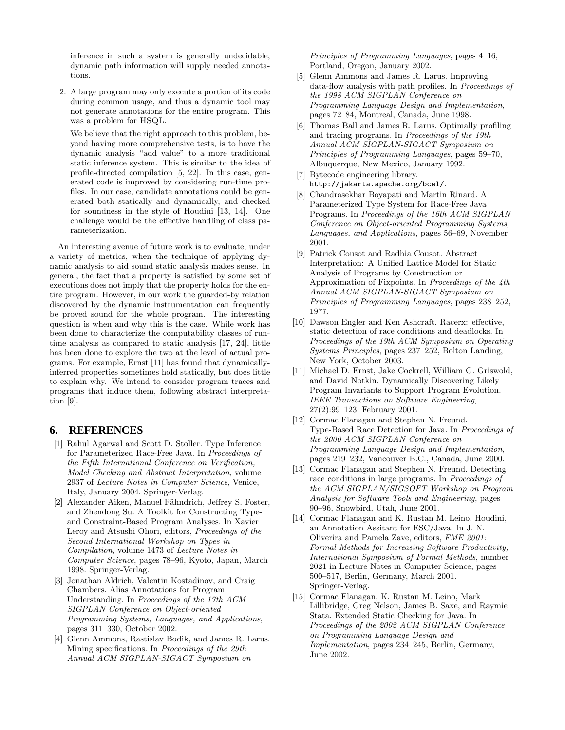inference in such a system is generally undecidable, dynamic path information will supply needed annotations.

2. A large program may only execute a portion of its code during common usage, and thus a dynamic tool may not generate annotations for the entire program. This was a problem for HSQL.

We believe that the right approach to this problem, beyond having more comprehensive tests, is to have the dynamic analysis "add value" to a more traditional static inference system. This is similar to the idea of profile-directed compilation [5, 22]. In this case, generated code is improved by considering run-time profiles. In our case, candidate annotations could be generated both statically and dynamically, and checked for soundness in the style of Houdini [13, 14]. One challenge would be the effective handling of class parameterization.

An interesting avenue of future work is to evaluate, under a variety of metrics, when the technique of applying dynamic analysis to aid sound static analysis makes sense. In general, the fact that a property is satisfied by some set of executions does not imply that the property holds for the entire program. However, in our work the guarded-by relation discovered by the dynamic instrumentation can frequently be proved sound for the whole program. The interesting question is when and why this is the case. While work has been done to characterize the computability classes of runtime analysis as compared to static analysis [17, 24], little has been done to explore the two at the level of actual programs. For example, Ernst [11] has found that dynamicallyinferred properties sometimes hold statically, but does little to explain why. We intend to consider program traces and programs that induce them, following abstract interpretation [9].

## **6. REFERENCES**

- [1] Rahul Agarwal and Scott D. Stoller. Type Inference for Parameterized Race-Free Java. In Proceedings of the Fifth International Conference on Verification, Model Checking and Abstract Interpretation, volume 2937 of Lecture Notes in Computer Science, Venice, Italy, January 2004. Springer-Verlag.
- [2] Alexander Aiken, Manuel Fähndrich, Jeffrey S. Foster, and Zhendong Su. A Toolkit for Constructing Typeand Constraint-Based Program Analyses. In Xavier Leroy and Atsushi Ohori, editors, Proceedings of the Second International Workshop on Types in Compilation, volume 1473 of Lecture Notes in Computer Science, pages 78–96, Kyoto, Japan, March 1998. Springer-Verlag.
- [3] Jonathan Aldrich, Valentin Kostadinov, and Craig Chambers. Alias Annotations for Program Understanding. In Proceedings of the 17th ACM SIGPLAN Conference on Object-oriented Programming Systems, Languages, and Applications, pages 311–330, October 2002.
- [4] Glenn Ammons, Rastislav Bodik, and James R. Larus. Mining specifications. In Proceedings of the 29th Annual ACM SIGPLAN-SIGACT Symposium on

Principles of Programming Languages, pages 4–16, Portland, Oregon, January 2002.

- [5] Glenn Ammons and James R. Larus. Improving data-flow analysis with path profiles. In Proceedings of the 1998 ACM SIGPLAN Conference on Programming Language Design and Implementation, pages 72–84, Montreal, Canada, June 1998.
- [6] Thomas Ball and James R. Larus. Optimally profiling and tracing programs. In Proceedings of the 19th Annual ACM SIGPLAN-SIGACT Symposium on Principles of Programming Languages, pages 59–70, Albuquerque, New Mexico, January 1992.
- [7] Bytecode engineering library. http://jakarta.apache.org/bcel/.
- [8] Chandrasekhar Boyapati and Martin Rinard. A Parameterized Type System for Race-Free Java Programs. In Proceedings of the 16th ACM SIGPLAN Conference on Object-oriented Programming Systems, Languages, and Applications, pages 56–69, November 2001.
- [9] Patrick Cousot and Radhia Cousot. Abstract Interpretation: A Unified Lattice Model for Static Analysis of Programs by Construction or Approximation of Fixpoints. In Proceedings of the 4th Annual ACM SIGPLAN-SIGACT Symposium on Principles of Programming Languages, pages 238–252, 1977.
- [10] Dawson Engler and Ken Ashcraft. Racerx: effective, static detection of race conditions and deadlocks. In Proceedings of the 19th ACM Symposium on Operating Systems Principles, pages 237–252, Bolton Landing, New York, October 2003.
- [11] Michael D. Ernst, Jake Cockrell, William G. Griswold, and David Notkin. Dynamically Discovering Likely Program Invariants to Support Program Evolution. IEEE Transactions on Software Engineering, 27(2):99–123, February 2001.
- [12] Cormac Flanagan and Stephen N. Freund. Type-Based Race Detection for Java. In Proceedings of the 2000 ACM SIGPLAN Conference on Programming Language Design and Implementation, pages 219–232, Vancouver B.C., Canada, June 2000.
- [13] Cormac Flanagan and Stephen N. Freund. Detecting race conditions in large programs. In Proceedings of the ACM SIGPLAN/SIGSOFT Workshop on Program Analysis for Software Tools and Engineering, pages 90–96, Snowbird, Utah, June 2001.
- [14] Cormac Flanagan and K. Rustan M. Leino. Houdini, an Annotation Assitant for ESC/Java. In J. N. Oliverira and Pamela Zave, editors, FME 2001: Formal Methods for Increasing Software Productivity, International Symposium of Formal Methods, number 2021 in Lecture Notes in Computer Science, pages 500–517, Berlin, Germany, March 2001. Springer-Verlag.
- [15] Cormac Flanagan, K. Rustan M. Leino, Mark Lillibridge, Greg Nelson, James B. Saxe, and Raymie Stata. Extended Static Checking for Java. In Proceedings of the 2002 ACM SIGPLAN Conference on Programming Language Design and Implementation, pages 234–245, Berlin, Germany, June 2002.